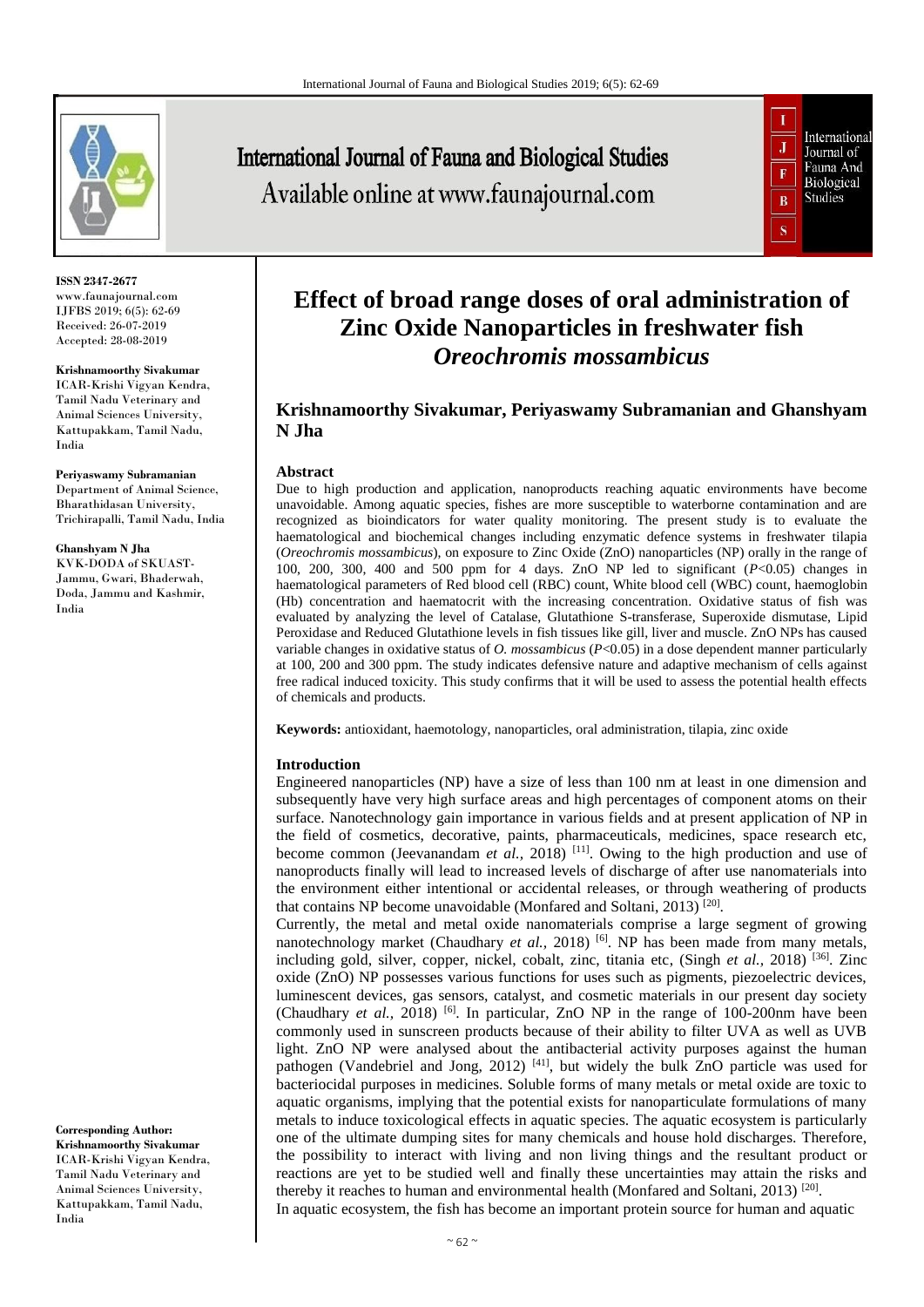

**ISSN 2347-2677** www.faunajournal.com IJFBS 2019; 6(5): 62-69 Received: 26-07-2019 Accepted: 28-08-2019

# **Krishnamoorthy Sivakumar**

ICAR-Krishi Vigyan Kendra, Tamil Nadu Veterinary and Animal Sciences University, Kattupakkam, Tamil Nadu, India

**Periyaswamy Subramanian**  Department of Animal Science, Bharathidasan University, Trichirapalli, Tamil Nadu, India

## **Ghanshyam N Jha**

KVK-DODA of SKUAST-Jammu, Gwari, Bhaderwah, Doda, Jammu and Kashmir, India

International Journal of Fauna and Biological Studies Available online at www.faunajournal.com



# **Effect of broad range doses of oral administration of Zinc Oxide Nanoparticles in freshwater fish**  *Oreochromis mossambicus*

# **Krishnamoorthy Sivakumar, Periyaswamy Subramanian and Ghanshyam N Jha**

# **Abstract**

Due to high production and application, nanoproducts reaching aquatic environments have become unavoidable. Among aquatic species, fishes are more susceptible to waterborne contamination and are recognized as bioindicators for water quality monitoring. The present study is to evaluate the haematological and biochemical changes including enzymatic defence systems in freshwater tilapia (*Oreochromis mossambicus*), on exposure to Zinc Oxide (ZnO) nanoparticles (NP) orally in the range of 100, 200, 300, 400 and 500 ppm for 4 days. ZnO NP led to significant (*P*<0.05) changes in haematological parameters of Red blood cell (RBC) count, White blood cell (WBC) count, haemoglobin (Hb) concentration and haematocrit with the increasing concentration. Oxidative status of fish was evaluated by analyzing the level of Catalase, Glutathione S-transferase, Superoxide dismutase, Lipid Peroxidase and Reduced Glutathione levels in fish tissues like gill, liver and muscle. ZnO NPs has caused variable changes in oxidative status of *O. mossambicus* (*P*<0.05) in a dose dependent manner particularly at 100, 200 and 300 ppm. The study indicates defensive nature and adaptive mechanism of cells against free radical induced toxicity. This study confirms that it will be used to assess the potential health effects of chemicals and products.

**Keywords:** antioxidant, haemotology, nanoparticles, oral administration, tilapia, zinc oxide

# **Introduction**

Engineered nanoparticles (NP) have a size of less than 100 nm at least in one dimension and subsequently have very high surface areas and high percentages of component atoms on their surface. Nanotechnology gain importance in various fields and at present application of NP in the field of cosmetics, decorative, paints, pharmaceuticals, medicines, space research etc, become common (Jeevanandam *et al.*, 2018)<sup>[11]</sup>. Owing to the high production and use of nanoproducts finally will lead to increased levels of discharge of after use nanomaterials into the environment either intentional or accidental releases, or through weathering of products that contains NP become unavoidable (Monfared and Soltani, 2013)<sup>[20]</sup>.

Currently, the metal and metal oxide nanomaterials comprise a large segment of growing nanotechnology market (Chaudhary *et al.*, 2018) <sup>[6]</sup>. NP has been made from many metals, including gold, silver, copper, nickel, cobalt, zinc, titania etc, (Singh *et al.,* 2018) [36]. Zinc oxide (ZnO) NP possesses various functions for uses such as pigments, piezoelectric devices, luminescent devices, gas sensors, catalyst, and cosmetic materials in our present day society (Chaudhary *et al.*, 2018) <sup>[6]</sup>. In particular, ZnO NP in the range of 100-200nm have been commonly used in sunscreen products because of their ability to filter UVA as well as UVB light. ZnO NP were analysed about the antibacterial activity purposes against the human pathogen (Vandebriel and Jong, 2012)  $[41]$ , but widely the bulk ZnO particle was used for bacteriocidal purposes in medicines. Soluble forms of many metals or metal oxide are toxic to aquatic organisms, implying that the potential exists for nanoparticulate formulations of many metals to induce toxicological effects in aquatic species. The aquatic ecosystem is particularly one of the ultimate dumping sites for many chemicals and house hold discharges. Therefore, the possibility to interact with living and non living things and the resultant product or reactions are yet to be studied well and finally these uncertainties may attain the risks and thereby it reaches to human and environmental health (Monfared and Soltani, 2013)<sup>[20]</sup>. In aquatic ecosystem, the fish has become an important protein source for human and aquatic

**Corresponding Author: Krishnamoorthy Sivakumar** ICAR-Krishi Vigyan Kendra, Tamil Nadu Veterinary and Animal Sciences University, Kattupakkam, Tamil Nadu, India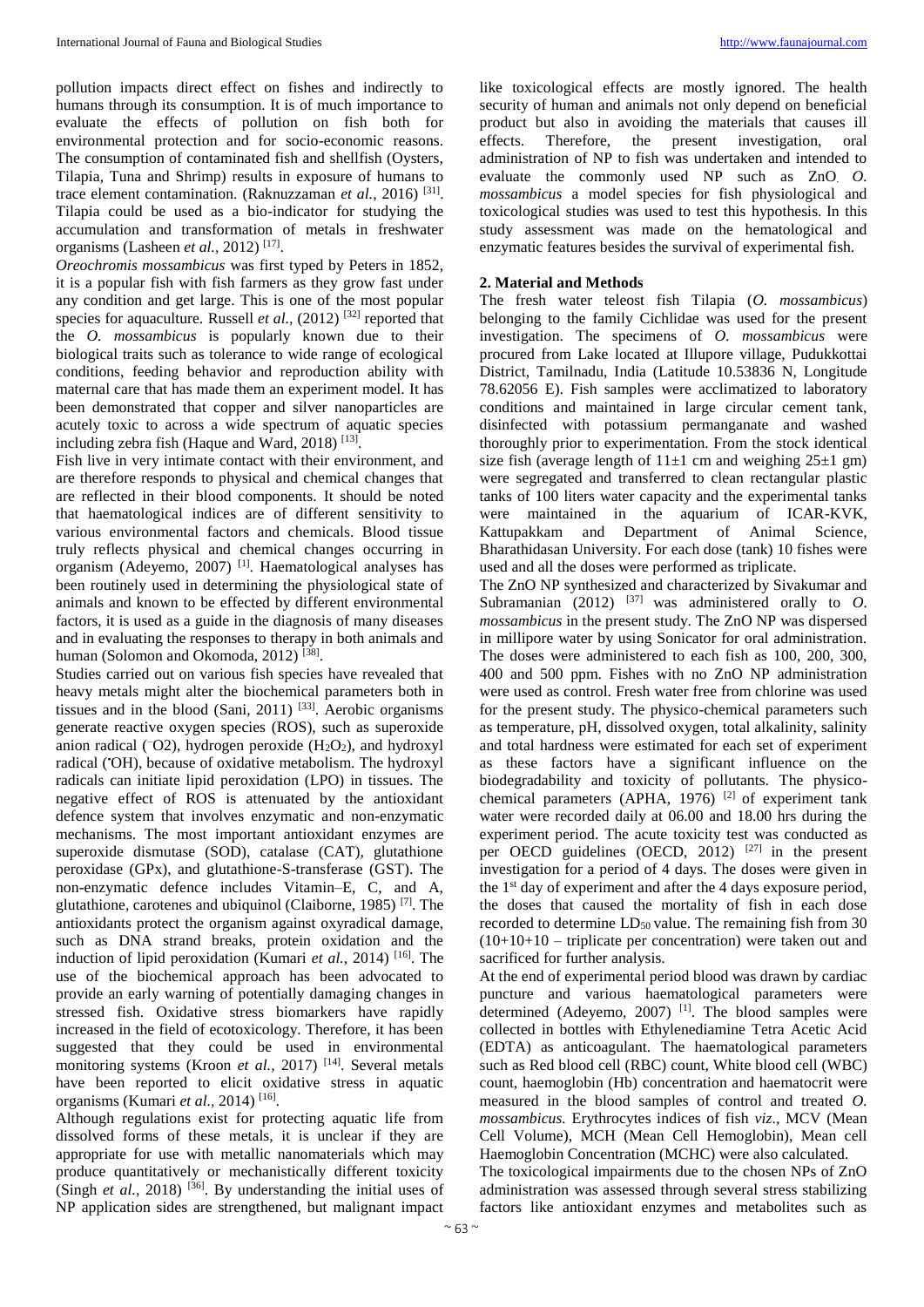pollution impacts direct effect on fishes and indirectly to humans through its consumption. It is of much importance to evaluate the effects of pollution on fish both for environmental protection and for socio-economic reasons. The consumption of contaminated fish and shellfish (Oysters, Tilapia, Tuna and Shrimp) results in exposure of humans to trace element contamination. (Raknuzzaman *et al.*, 2016) [31] . Tilapia could be used as a bio-indicator for studying the accumulation and transformation of metals in freshwater organisms (Lasheen *et al.,* 2012) [17] .

*Oreochromis mossambicus* was first typed by Peters in 1852, it is a popular fish with fish farmers as they grow fast under any condition and get large. This is one of the most popular species for aquaculture. Russell *et al.*, (2012)<sup>[32]</sup> reported that the *O. mossambicus* is popularly known due to their biological traits such as tolerance to wide range of ecological conditions, feeding behavior and reproduction ability with maternal care that has made them an experiment model. It has been demonstrated that copper and silver nanoparticles are acutely toxic to across a wide spectrum of aquatic species including zebra fish (Haque and Ward,  $2018$ )<sup>[13]</sup>.

Fish live in very intimate contact with their environment, and are therefore responds to physical and chemical changes that are reflected in their blood components. It should be noted that haematological indices are of different sensitivity to various environmental factors and chemicals. Blood tissue truly reflects physical and chemical changes occurring in organism (Adeyemo, 2007)<sup>[1]</sup>. Haematological analyses has been routinely used in determining the physiological state of animals and known to be effected by different environmental factors, it is used as a guide in the diagnosis of many diseases and in evaluating the responses to therapy in both animals and human (Solomon and Okomoda, 2012)<sup>[38]</sup>.

Studies carried out on various fish species have revealed that heavy metals might alter the biochemical parameters both in tissues and in the blood (Sani, 2011)  $^{[33]}$ . Aerobic organisms generate reactive oxygen species (ROS), such as superoxide anion radical ( $\overline{-O2}$ ), hydrogen peroxide ( $H_2O_2$ ), and hydroxyl radical (•OH), because of oxidative metabolism. The hydroxyl radicals can initiate lipid peroxidation (LPO) in tissues. The negative effect of ROS is attenuated by the antioxidant defence system that involves enzymatic and non-enzymatic mechanisms. The most important antioxidant enzymes are superoxide dismutase (SOD), catalase (CAT), glutathione peroxidase (GPx), and glutathione-S-transferase (GST). The non-enzymatic defence includes Vitamin–E, C, and A, glutathione, carotenes and ubiquinol (Claiborne, 1985) [7]. The antioxidants protect the organism against oxyradical damage, such as DNA strand breaks, protein oxidation and the induction of lipid peroxidation (Kumari *et al.,* 2014) <sup>[16]</sup>. The use of the biochemical approach has been advocated to provide an early warning of potentially damaging changes in stressed fish. Oxidative stress biomarkers have rapidly increased in the field of ecotoxicology. Therefore, it has been suggested that they could be used in environmental monitoring systems (Kroon *et al.*, 2017)<sup>[14]</sup>. Several metals have been reported to elicit oxidative stress in aquatic organisms (Kumari *et al.,* 2014) [16] .

Although regulations exist for protecting aquatic life from dissolved forms of these metals, it is unclear if they are appropriate for use with metallic nanomaterials which may produce quantitatively or mechanistically different toxicity (Singh  $et$   $al$ , 2018)<sup>[36]</sup>. By understanding the initial uses of NP application sides are strengthened, but malignant impact

like toxicological effects are mostly ignored. The health security of human and animals not only depend on beneficial product but also in avoiding the materials that causes ill effects. Therefore, the present investigation, oral administration of NP to fish was undertaken and intended to evaluate the commonly used NP such as ZnO. *O. mossambicus* a model species for fish physiological and toxicological studies was used to test this hypothesis. In this study assessment was made on the hematological and enzymatic features besides the survival of experimental fish.

# **2. Material and Methods**

The fresh water teleost fish Tilapia (*O. mossambicus*) belonging to the family Cichlidae was used for the present investigation. The specimens of *O. mossambicus* were procured from Lake located at Illupore village, Pudukkottai District, Tamilnadu, India (Latitude 10.53836 N, Longitude 78.62056 E). Fish samples were acclimatized to laboratory conditions and maintained in large circular cement tank, disinfected with potassium permanganate and washed thoroughly prior to experimentation. From the stock identical size fish (average length of  $11\pm1$  cm and weighing  $25\pm1$  gm) were segregated and transferred to clean rectangular plastic tanks of 100 liters water capacity and the experimental tanks were maintained in the aquarium of ICAR-KVK, Kattupakkam and Department of Animal Science, Bharathidasan University. For each dose (tank) 10 fishes were used and all the doses were performed as triplicate.

The ZnO NP synthesized and characterized by Sivakumar and Subramanian  $(2012)$  <sup>[37]</sup> was administered orally to *O*. *mossambicus* in the present study. The ZnO NP was dispersed in millipore water by using Sonicator for oral administration. The doses were administered to each fish as 100, 200, 300, 400 and 500 ppm. Fishes with no ZnO NP administration were used as control. Fresh water free from chlorine was used for the present study. The physico-chemical parameters such as temperature, pH, dissolved oxygen, total alkalinity, salinity and total hardness were estimated for each set of experiment as these factors have a significant influence on the biodegradability and toxicity of pollutants. The physicochemical parameters (APHA, 1976)  $[2]$  of experiment tank water were recorded daily at 06.00 and 18.00 hrs during the experiment period. The acute toxicity test was conducted as per OECD guidelines (OECD, 2012) [27] in the present investigation for a period of 4 days. The doses were given in the  $1<sup>st</sup>$  day of experiment and after the 4 days exposure period, the doses that caused the mortality of fish in each dose recorded to determine  $LD_{50}$  value. The remaining fish from 30  $(10+10+10)$  – triplicate per concentration) were taken out and sacrificed for further analysis.

At the end of experimental period blood was drawn by cardiac puncture and various haematological parameters were determined (Adeyemo, 2007)  $^{[1]}$ . The blood samples were collected in bottles with Ethylenediamine Tetra Acetic Acid (EDTA) as anticoagulant. The haematological parameters such as Red blood cell (RBC) count, White blood cell (WBC) count, haemoglobin (Hb) concentration and haematocrit were measured in the blood samples of control and treated *O. mossambicus.* Erythrocytes indices of fish *viz*., MCV (Mean Cell Volume), MCH (Mean Cell Hemoglobin), Mean cell Haemoglobin Concentration (MCHC) were also calculated.

The toxicological impairments due to the chosen NPs of ZnO administration was assessed through several stress stabilizing factors like antioxidant enzymes and metabolites such as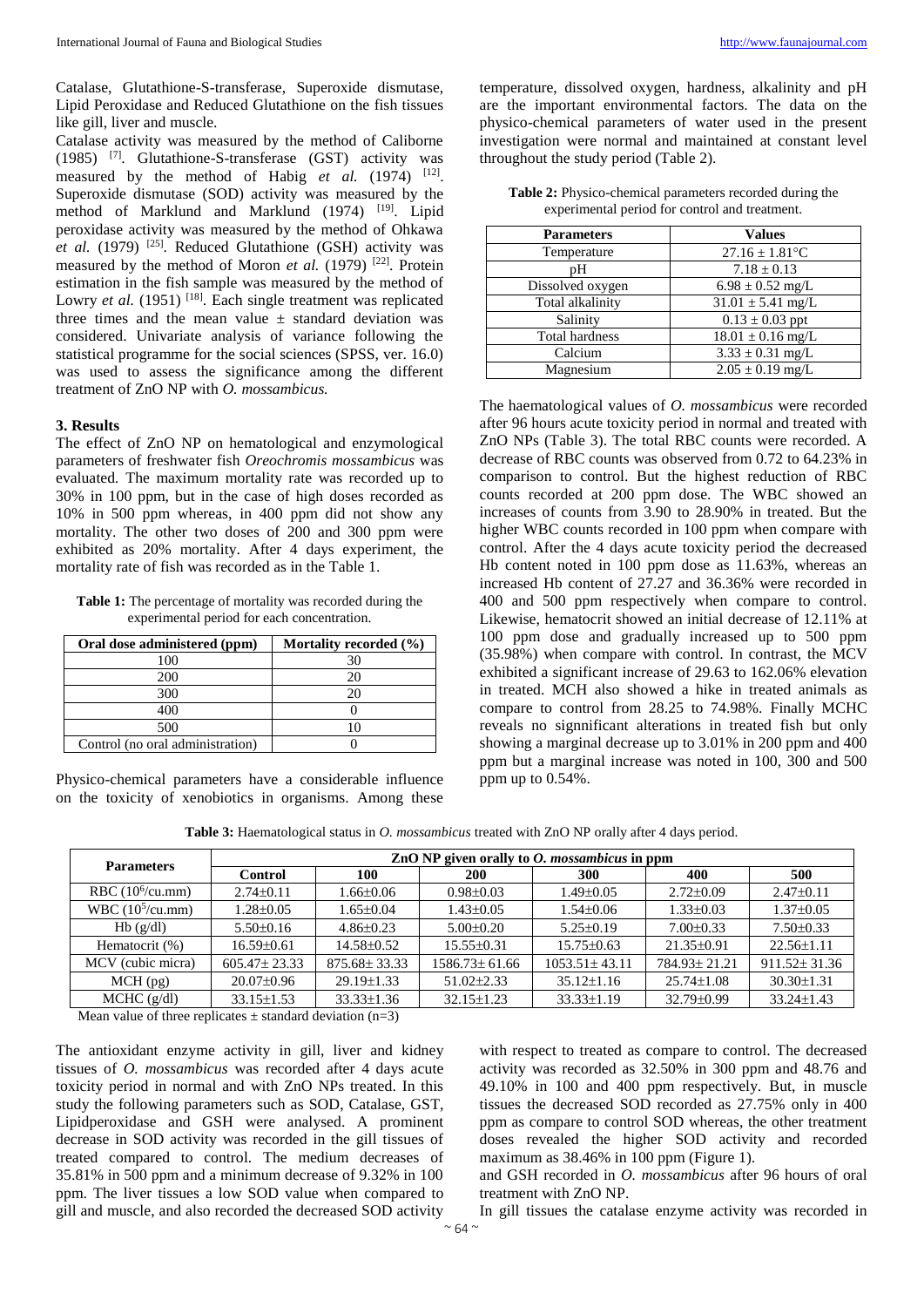Catalase, Glutathione-S-transferase, Superoxide dismutase, Lipid Peroxidase and Reduced Glutathione on the fish tissues like gill, liver and muscle.

Catalase activity was measured by the method of Caliborne (1985) [7]. Glutathione-S-transferase (GST) activity was measured by the method of Habig *et al.* (1974)  $[12]$ . Superoxide dismutase (SOD) activity was measured by the method of Marklund and Marklund (1974) <sup>[19]</sup>. Lipid peroxidase activity was measured by the method of Ohkawa *et al.* (1979)  $^{[25]}$ . Reduced Glutathione (GSH) activity was measured by the method of Moron *et al.* (1979) <sup>[22]</sup>. Protein estimation in the fish sample was measured by the method of Lowry *et al.* (1951)<sup>[18]</sup>. Each single treatment was replicated three times and the mean value  $\pm$  standard deviation was considered. Univariate analysis of variance following the statistical programme for the social sciences (SPSS, ver. 16.0) was used to assess the significance among the different treatment of ZnO NP with *O. mossambicus.*

## **3. Results**

The effect of ZnO NP on hematological and enzymological parameters of freshwater fish *Oreochromis mossambicus* was evaluated*.* The maximum mortality rate was recorded up to 30% in 100 ppm, but in the case of high doses recorded as 10% in 500 ppm whereas, in 400 ppm did not show any mortality. The other two doses of 200 and 300 ppm were exhibited as 20% mortality. After 4 days experiment, the mortality rate of fish was recorded as in the Table 1.

**Table 1:** The percentage of mortality was recorded during the experimental period for each concentration.

| Oral dose administered (ppm)     | Mortality recorded (%) |
|----------------------------------|------------------------|
| 10C                              |                        |
| 200                              |                        |
| 300                              |                        |
| 400                              |                        |
| 500                              |                        |
| Control (no oral administration) |                        |

Physico-chemical parameters have a considerable influence on the toxicity of xenobiotics in organisms. Among these

temperature, dissolved oxygen, hardness, alkalinity and pH are the important environmental factors. The data on the physico-chemical parameters of water used in the present investigation were normal and maintained at constant level throughout the study period (Table 2).

| <b>Table 2:</b> Physico-chemical parameters recorded during the |
|-----------------------------------------------------------------|
| experimental period for control and treatment.                  |

| <b>Parameters</b>     | <b>Values</b>         |  |  |
|-----------------------|-----------------------|--|--|
| Temperature           | $27.16 \pm 1.81$ °C   |  |  |
| pН                    | $7.18 \pm 0.13$       |  |  |
| Dissolved oxygen      | $6.98 \pm 0.52$ mg/L  |  |  |
| Total alkalinity      | $31.01 \pm 5.41$ mg/L |  |  |
| Salinity              | $0.13 \pm 0.03$ ppt   |  |  |
| <b>Total hardness</b> | $18.01 \pm 0.16$ mg/L |  |  |
| Calcium               | $3.33 \pm 0.31$ mg/L  |  |  |
| Magnesium             | $2.05 \pm 0.19$ mg/L  |  |  |

The haematological values of *O. mossambicus* were recorded after 96 hours acute toxicity period in normal and treated with ZnO NPs (Table 3). The total RBC counts were recorded. A decrease of RBC counts was observed from 0.72 to 64.23% in comparison to control. But the highest reduction of RBC counts recorded at 200 ppm dose. The WBC showed an increases of counts from 3.90 to 28.90% in treated. But the higher WBC counts recorded in 100 ppm when compare with control. After the 4 days acute toxicity period the decreased Hb content noted in 100 ppm dose as 11.63%, whereas an increased Hb content of 27.27 and 36.36% were recorded in 400 and 500 ppm respectively when compare to control. Likewise, hematocrit showed an initial decrease of 12.11% at 100 ppm dose and gradually increased up to 500 ppm (35.98%) when compare with control. In contrast, the MCV exhibited a significant increase of 29.63 to 162.06% elevation in treated. MCH also showed a hike in treated animals as compare to control from 28.25 to 74.98%. Finally MCHC reveals no signnificant alterations in treated fish but only showing a marginal decrease up to 3.01% in 200 ppm and 400 ppm but a marginal increase was noted in 100, 300 and 500 ppm up to 0.54%.

**Table 3:** Haematological status in *O. mossambicus* treated with ZnO NP orally after 4 days period.

| <b>Parameters</b>   | $ZnO NP$ given orally to <i>O. mossambicus</i> in ppm |                    |                     |                     |                  |                    |  |
|---------------------|-------------------------------------------------------|--------------------|---------------------|---------------------|------------------|--------------------|--|
|                     | <b>Control</b>                                        | 100                | <b>200</b>          | <b>300</b>          | 400              | 500                |  |
| RBC $(106/cu.mm)$   | $2.74 \pm 0.11$                                       | $1.66 \pm 0.06$    | $0.98 \pm 0.03$     | 1.49±0.05           | $2.72\pm0.09$    | $2.47\pm0.11$      |  |
| WBC $(10^5$ /cu.mm) | 1.28±0.05                                             | $1.65 \pm 0.04$    | $1.43 \pm 0.05$     | $1.54 \pm 0.06$     | $1.33 \pm 0.03$  | $1.37 \pm 0.05$    |  |
| Hb(g/dl)            | $5.50 \pm 0.16$                                       | $4.86\pm0.23$      | $5.00 \pm 0.20$     | $5.25 \pm 0.19$     | $7.00 \pm 0.33$  | $7.50\pm0.33$      |  |
| Hematocrit (%)      | $16.59 \pm 0.61$                                      | $14.58\pm0.52$     | $15.55\pm0.31$      | $15.75 \pm 0.63$    | $21.35\pm0.91$   | $22.56 \pm 1.11$   |  |
| MCV (cubic micra)   | $605.47 \pm 23.33$                                    | $875.68 \pm 33.33$ | $1586.73 \pm 61.66$ | $1053.51 \pm 43.11$ | 784.93±21.21     | $911.52 \pm 31.36$ |  |
| $MCH$ (pg)          | $20.07 \pm 0.96$                                      | $29.19 \pm 1.33$   | $51.02 \pm 2.33$    | $35.12 \pm 1.16$    | $25.74 \pm 1.08$ | $30.30 \pm 1.31$   |  |
| $MCHC$ (g/dl)       | $33.15 \pm 1.53$                                      | $33.33 \pm 1.36$   | $32.15 \pm 1.23$    | $33.33 \pm 1.19$    | 32.79±0.99       | $33.24 \pm 1.43$   |  |

Mean value of three replicates  $\pm$  standard deviation (n=3)

The antioxidant enzyme activity in gill, liver and kidney tissues of *O. mossambicus* was recorded after 4 days acute toxicity period in normal and with ZnO NPs treated. In this study the following parameters such as SOD, Catalase, GST, Lipidperoxidase and GSH were analysed. A prominent decrease in SOD activity was recorded in the gill tissues of treated compared to control. The medium decreases of 35.81% in 500 ppm and a minimum decrease of 9.32% in 100 ppm. The liver tissues a low SOD value when compared to gill and muscle, and also recorded the decreased SOD activity

with respect to treated as compare to control. The decreased activity was recorded as 32.50% in 300 ppm and 48.76 and 49.10% in 100 and 400 ppm respectively. But, in muscle tissues the decreased SOD recorded as 27.75% only in 400 ppm as compare to control SOD whereas, the other treatment doses revealed the higher SOD activity and recorded maximum as 38.46% in 100 ppm (Figure 1).

and GSH recorded in *O. mossambicus* after 96 hours of oral treatment with ZnO NP.

In gill tissues the catalase enzyme activity was recorded in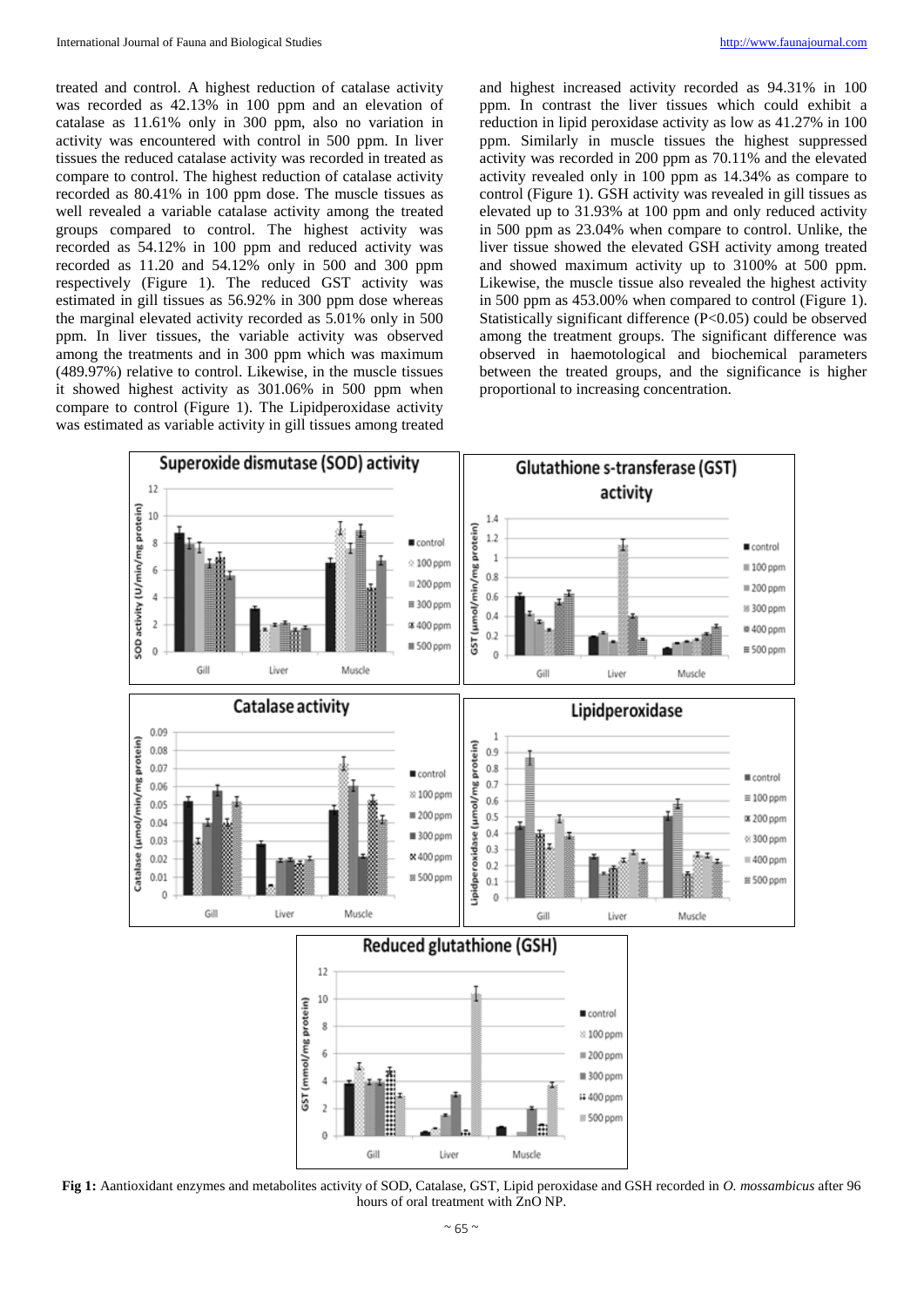treated and control. A highest reduction of catalase activity was recorded as 42.13% in 100 ppm and an elevation of catalase as 11.61% only in 300 ppm, also no variation in activity was encountered with control in 500 ppm. In liver tissues the reduced catalase activity was recorded in treated as compare to control. The highest reduction of catalase activity recorded as 80.41% in 100 ppm dose. The muscle tissues as well revealed a variable catalase activity among the treated groups compared to control. The highest activity was recorded as 54.12% in 100 ppm and reduced activity was recorded as 11.20 and 54.12% only in 500 and 300 ppm respectively (Figure 1). The reduced GST activity was estimated in gill tissues as 56.92% in 300 ppm dose whereas the marginal elevated activity recorded as 5.01% only in 500 ppm. In liver tissues, the variable activity was observed among the treatments and in 300 ppm which was maximum (489.97%) relative to control. Likewise, in the muscle tissues it showed highest activity as 301.06% in 500 ppm when compare to control (Figure 1). The Lipidperoxidase activity was estimated as variable activity in gill tissues among treated

and highest increased activity recorded as 94.31% in 100 ppm. In contrast the liver tissues which could exhibit a reduction in lipid peroxidase activity as low as 41.27% in 100 ppm. Similarly in muscle tissues the highest suppressed activity was recorded in 200 ppm as 70.11% and the elevated activity revealed only in 100 ppm as 14.34% as compare to control (Figure 1). GSH activity was revealed in gill tissues as elevated up to 31.93% at 100 ppm and only reduced activity in 500 ppm as 23.04% when compare to control. Unlike, the liver tissue showed the elevated GSH activity among treated and showed maximum activity up to 3100% at 500 ppm. Likewise, the muscle tissue also revealed the highest activity in 500 ppm as 453.00% when compared to control (Figure 1). Statistically significant difference (P<0.05) could be observed among the treatment groups. The significant difference was observed in haemotological and biochemical parameters between the treated groups, and the significance is higher proportional to increasing concentration.



**Fig 1:** Aantioxidant enzymes and metabolites activity of SOD, Catalase, GST, Lipid peroxidase and GSH recorded in *O. mossambicus* after 96 hours of oral treatment with ZnO NP.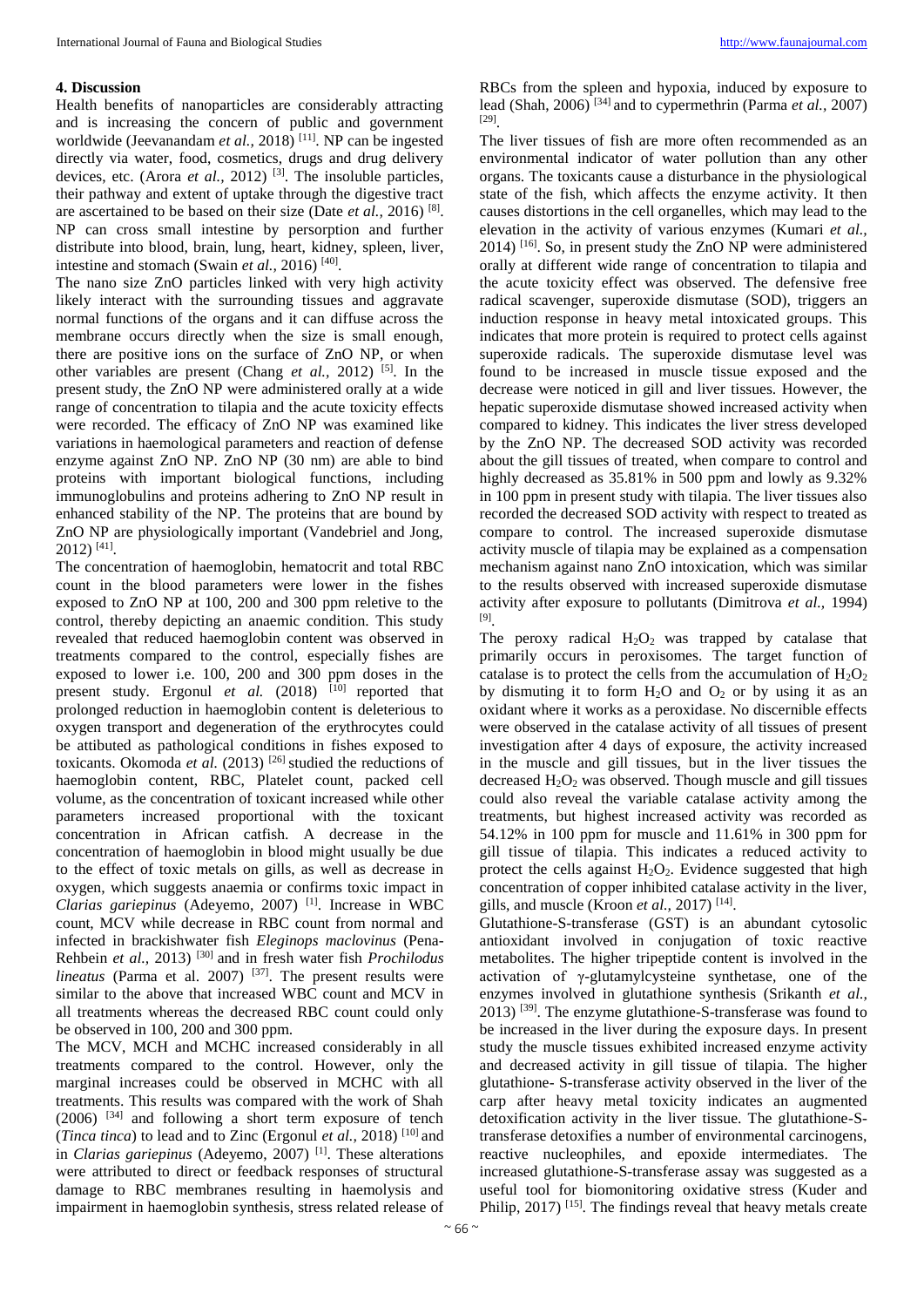# **4. Discussion**

Health benefits of nanoparticles are considerably attracting and is increasing the concern of public and government worldwide (Jeevanandam *et al.*, 2018)<sup>[11]</sup>. NP can be ingested directly via water, food, cosmetics, drugs and drug delivery devices, etc. (Arora *et al.*, 2012)<sup>[3]</sup>. The insoluble particles, their pathway and extent of uptake through the digestive tract are ascertained to be based on their size (Date *et al.,* 2016) [8] . NP can cross small intestine by persorption and further distribute into blood, brain, lung, heart, kidney, spleen, liver, intestine and stomach (Swain *et al.*, 2016)<sup>[40]</sup>.

The nano size ZnO particles linked with very high activity likely interact with the surrounding tissues and aggravate normal functions of the organs and it can diffuse across the membrane occurs directly when the size is small enough, there are positive ions on the surface of ZnO NP, or when other variables are present (Chang *et al.,* 2012) [5]. In the present study, the ZnO NP were administered orally at a wide range of concentration to tilapia and the acute toxicity effects were recorded. The efficacy of ZnO NP was examined like variations in haemological parameters and reaction of defense enzyme against ZnO NP. ZnO NP (30 nm) are able to bind proteins with important biological functions, including immunoglobulins and proteins adhering to ZnO NP result in enhanced stability of the NP. The proteins that are bound by ZnO NP are physiologically important (Vandebriel and Jong, 2012) [41] .

The concentration of haemoglobin, hematocrit and total RBC count in the blood parameters were lower in the fishes exposed to ZnO NP at 100, 200 and 300 ppm reletive to the control, thereby depicting an anaemic condition. This study revealed that reduced haemoglobin content was observed in treatments compared to the control, especially fishes are exposed to lower i.e. 100, 200 and 300 ppm doses in the present study. Ergonul et al. (2018) <sup>[10]</sup> reported that prolonged reduction in haemoglobin content is deleterious to oxygen transport and degeneration of the erythrocytes could be attibuted as pathological conditions in fishes exposed to toxicants. Okomoda *et al.* (2013) <sup>[26]</sup> studied the reductions of haemoglobin content, RBC, Platelet count, packed cell volume, as the concentration of toxicant increased while other parameters increased proportional with the toxicant concentration in African catfish. A decrease in the concentration of haemoglobin in blood might usually be due to the effect of toxic metals on gills, as well as decrease in oxygen, which suggests anaemia or confirms toxic impact in *Clarias gariepinus* (Adeyemo, 2007) [1]. Increase in WBC count, MCV while decrease in RBC count from normal and infected in brackishwater fish *Eleginops maclovinus* (Pena-Rehbein *et al.,* 2013) [30] and in fresh water fish *Prochilodus lineatus* (Parma et al. 2007) <sup>[37]</sup>. The present results were similar to the above that increased WBC count and MCV in all treatments whereas the decreased RBC count could only be observed in 100, 200 and 300 ppm.

The MCV, MCH and MCHC increased considerably in all treatments compared to the control. However, only the marginal increases could be observed in MCHC with all treatments. This results was compared with the work of Shah  $(2006)$  <sup>[34]</sup> and following a short term exposure of tench (*Tinca tinca*) to lead and to Zinc (Ergonul *et al.,* 2018) [10] and in *Clarias gariepinus* (Adeyemo, 2007) [1]. These alterations were attributed to direct or feedback responses of structural damage to RBC membranes resulting in haemolysis and impairment in haemoglobin synthesis, stress related release of

RBCs from the spleen and hypoxia, induced by exposure to lead (Shah, 2006) [34] and to cypermethrin (Parma *et al.,* 2007) [29] .

The liver tissues of fish are more often recommended as an environmental indicator of water pollution than any other organs. The toxicants cause a disturbance in the physiological state of the fish, which affects the enzyme activity. It then causes distortions in the cell organelles, which may lead to the elevation in the activity of various enzymes (Kumari *et al.,*  $2014$ )  $^{[16]}$ . So, in present study the ZnO NP were administered orally at different wide range of concentration to tilapia and the acute toxicity effect was observed. The defensive free radical scavenger, superoxide dismutase (SOD), triggers an induction response in heavy metal intoxicated groups. This indicates that more protein is required to protect cells against superoxide radicals. The superoxide dismutase level was found to be increased in muscle tissue exposed and the decrease were noticed in gill and liver tissues. However, the hepatic superoxide dismutase showed increased activity when compared to kidney. This indicates the liver stress developed by the ZnO NP. The decreased SOD activity was recorded about the gill tissues of treated, when compare to control and highly decreased as 35.81% in 500 ppm and lowly as 9.32% in 100 ppm in present study with tilapia. The liver tissues also recorded the decreased SOD activity with respect to treated as compare to control. The increased superoxide dismutase activity muscle of tilapia may be explained as a compensation mechanism against nano ZnO intoxication, which was similar to the results observed with increased superoxide dismutase activity after exposure to pollutants (Dimitrova *et al.,* 1994) [9] .

The peroxy radical  $H_2O_2$  was trapped by catalase that primarily occurs in peroxisomes. The target function of catalase is to protect the cells from the accumulation of  $H_2O_2$ by dismuting it to form  $H_2O$  and  $O_2$  or by using it as an oxidant where it works as a peroxidase. No discernible effects were observed in the catalase activity of all tissues of present investigation after 4 days of exposure, the activity increased in the muscle and gill tissues, but in the liver tissues the decreased  $H_2O_2$  was observed. Though muscle and gill tissues could also reveal the variable catalase activity among the treatments, but highest increased activity was recorded as 54.12% in 100 ppm for muscle and 11.61% in 300 ppm for gill tissue of tilapia. This indicates a reduced activity to protect the cells against  $H_2O_2$ . Evidence suggested that high concentration of copper inhibited catalase activity in the liver, gills, and muscle (Kroon *et al.,* 2017) [14] .

Glutathione-S-transferase (GST) is an abundant cytosolic antioxidant involved in conjugation of toxic reactive metabolites. The higher tripeptide content is involved in the activation of γ-glutamylcysteine synthetase, one of the enzymes involved in glutathione synthesis (Srikanth *et al.,*  $2013$ ) <sup>[39]</sup>. The enzyme glutathione-S-transferase was found to be increased in the liver during the exposure days. In present study the muscle tissues exhibited increased enzyme activity and decreased activity in gill tissue of tilapia. The higher glutathione- S-transferase activity observed in the liver of the carp after heavy metal toxicity indicates an augmented detoxification activity in the liver tissue. The glutathione-Stransferase detoxifies a number of environmental carcinogens, reactive nucleophiles, and epoxide intermediates. The increased glutathione-S-transferase assay was suggested as a useful tool for biomonitoring oxidative stress (Kuder and Philip, 2017)<sup>[15]</sup>. The findings reveal that heavy metals create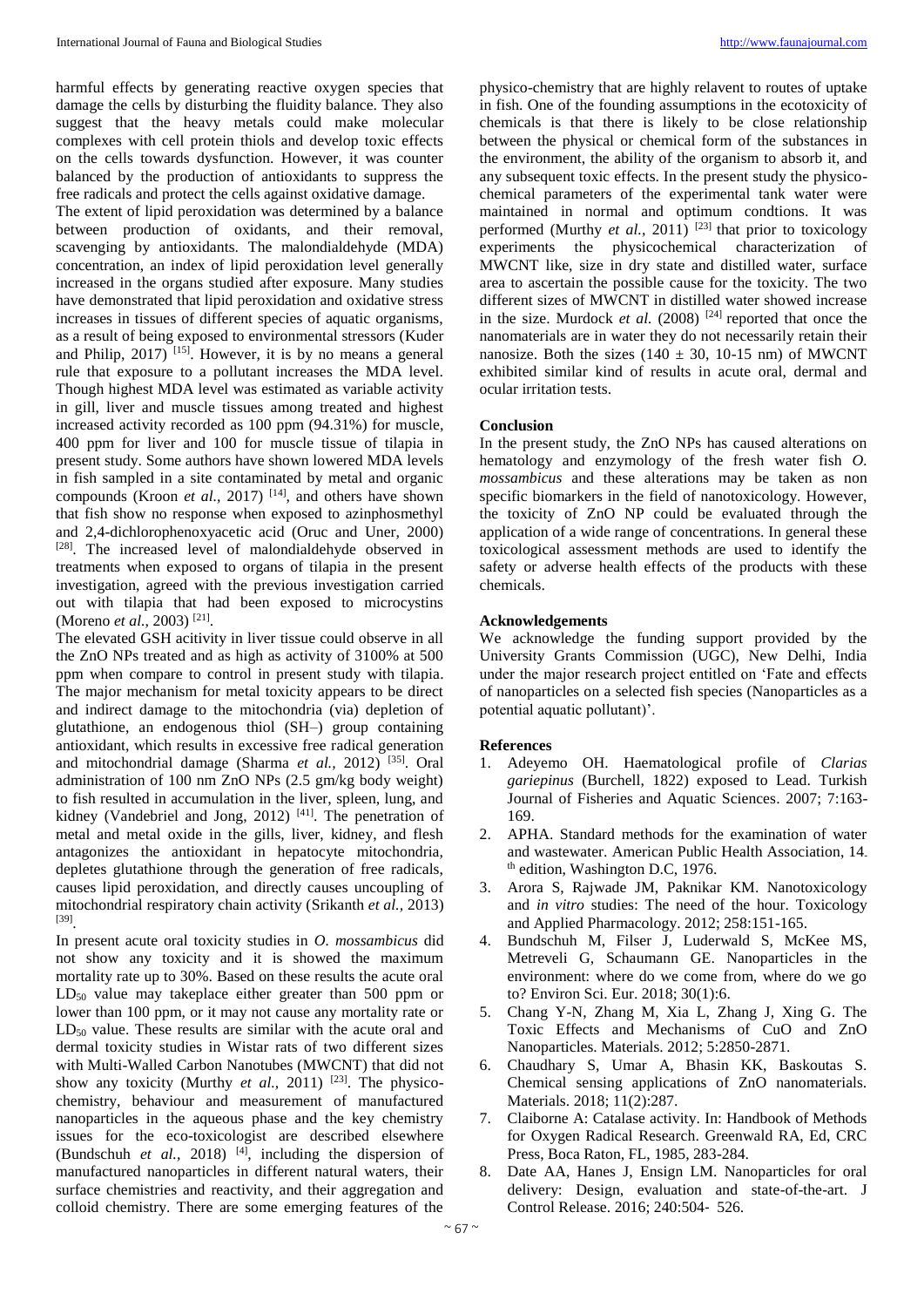harmful effects by generating reactive oxygen species that damage the cells by disturbing the fluidity balance. They also suggest that the heavy metals could make molecular complexes with cell protein thiols and develop toxic effects on the cells towards dysfunction. However, it was counter balanced by the production of antioxidants to suppress the free radicals and protect the cells against oxidative damage.

The extent of lipid peroxidation was determined by a balance between production of oxidants, and their removal, scavenging by antioxidants. The malondialdehyde (MDA) concentration, an index of lipid peroxidation level generally increased in the organs studied after exposure. Many studies have demonstrated that lipid peroxidation and oxidative stress increases in tissues of different species of aquatic organisms, as a result of being exposed to environmental stressors (Kuder and Philip,  $2017$ <sup>[15]</sup>. However, it is by no means a general rule that exposure to a pollutant increases the MDA level. Though highest MDA level was estimated as variable activity in gill, liver and muscle tissues among treated and highest increased activity recorded as 100 ppm (94.31%) for muscle, 400 ppm for liver and 100 for muscle tissue of tilapia in present study. Some authors have shown lowered MDA levels in fish sampled in a site contaminated by metal and organic compounds (Kroon *et al.*, 2017)<sup>[14]</sup>, and others have shown that fish show no response when exposed to azinphosmethyl and 2,4-dichlorophenoxyacetic acid (Oruc and Uner, 2000) [28]. The increased level of malondialdehyde observed in treatments when exposed to organs of tilapia in the present investigation, agreed with the previous investigation carried out with tilapia that had been exposed to microcystins (Moreno *et al.,* 2003) [21] .

The elevated GSH acitivity in liver tissue could observe in all the ZnO NPs treated and as high as activity of 3100% at 500 ppm when compare to control in present study with tilapia. The major mechanism for metal toxicity appears to be direct and indirect damage to the mitochondria (via) depletion of glutathione, an endogenous thiol (SH–) group containing antioxidant, which results in excessive free radical generation and mitochondrial damage (Sharma *et al.,* 2012) [35]. Oral administration of 100 nm ZnO NPs (2.5 gm/kg body weight) to fish resulted in accumulation in the liver, spleen, lung, and kidney (Vandebriel and Jong, 2012)<sup>[41]</sup>. The penetration of metal and metal oxide in the gills, liver, kidney, and flesh antagonizes the antioxidant in hepatocyte mitochondria, depletes glutathione through the generation of free radicals, causes lipid peroxidation, and directly causes uncoupling of mitochondrial respiratory chain activity (Srikanth *et al.,* 2013) [39] .

In present acute oral toxicity studies in *O. mossambicus* did not show any toxicity and it is showed the maximum mortality rate up to 30%. Based on these results the acute oral  $LD_{50}$  value may takeplace either greater than 500 ppm or lower than 100 ppm, or it may not cause any mortality rate or  $LD_{50}$  value. These results are similar with the acute oral and dermal toxicity studies in Wistar rats of two different sizes with Multi-Walled Carbon Nanotubes (MWCNT) that did not show any toxicity (Murthy *et al.*, 2011) <sup>[23]</sup>. The physicochemistry, behaviour and measurement of manufactured nanoparticles in the aqueous phase and the key chemistry issues for the eco-toxicologist are described elsewhere (Bundschuh *et al.*, 2018)<sup>[4]</sup>, including the dispersion of manufactured nanoparticles in different natural waters, their surface chemistries and reactivity, and their aggregation and colloid chemistry. There are some emerging features of the

physico-chemistry that are highly relavent to routes of uptake in fish. One of the founding assumptions in the ecotoxicity of chemicals is that there is likely to be close relationship between the physical or chemical form of the substances in the environment, the ability of the organism to absorb it, and any subsequent toxic effects. In the present study the physicochemical parameters of the experimental tank water were maintained in normal and optimum condtions. It was performed (Murthy *et al.*, 2011)<sup>[23]</sup> that prior to toxicology experiments the physicochemical characterization of MWCNT like, size in dry state and distilled water, surface area to ascertain the possible cause for the toxicity. The two different sizes of MWCNT in distilled water showed increase in the size. Murdock *et al.* (2008) <sup>[24]</sup> reported that once the nanomaterials are in water they do not necessarily retain their nanosize. Both the sizes  $(140 \pm 30, 10^{-15} \text{ nm})$  of MWCNT exhibited similar kind of results in acute oral, dermal and ocular irritation tests.

# **Conclusion**

In the present study, the ZnO NPs has caused alterations on hematology and enzymology of the fresh water fish *O. mossambicus* and these alterations may be taken as non specific biomarkers in the field of nanotoxicology. However, the toxicity of ZnO NP could be evaluated through the application of a wide range of concentrations. In general these toxicological assessment methods are used to identify the safety or adverse health effects of the products with these chemicals.

## **Acknowledgements**

We acknowledge the funding support provided by the University Grants Commission (UGC), New Delhi, India under the major research project entitled on 'Fate and effects of nanoparticles on a selected fish species (Nanoparticles as a potential aquatic pollutant)'.

#### **References**

- 1. Adeyemo OH. Haematological profile of *Clarias gariepinus* (Burchell, 1822) exposed to Lead. Turkish Journal of Fisheries and Aquatic Sciences. 2007; 7:163- 169.
- 2. APHA. Standard methods for the examination of water and wastewater. American Public Health Association, 14 th edition, Washington D.C, 1976.
- 3. Arora S, Rajwade JM, Paknikar KM. Nanotoxicology and *in vitro* studies: The need of the hour. Toxicology and Applied Pharmacology. 2012; 258:151-165.
- 4. Bundschuh M, Filser J, Luderwald S, McKee MS, Metreveli G, Schaumann GE. Nanoparticles in the environment: where do we come from, where do we go to? Environ Sci. Eur. 2018; 30(1):6.
- 5. Chang Y-N, Zhang M, Xia L, Zhang J, Xing G. The Toxic Effects and Mechanisms of CuO and ZnO Nanoparticles. Materials. 2012; 5:2850-2871.
- 6. Chaudhary S, Umar A, Bhasin KK, Baskoutas S. Chemical sensing applications of ZnO nanomaterials. Materials. 2018; 11(2):287.
- 7. Claiborne A: Catalase activity. In: Handbook of Methods for Oxygen Radical Research. Greenwald RA, Ed, CRC Press, Boca Raton, FL, 1985, 283-284.
- 8. Date AA, Hanes J, Ensign LM. Nanoparticles for oral delivery: Design, evaluation and state-of-the-art. J Control Release. 2016; 240:504‐ 526.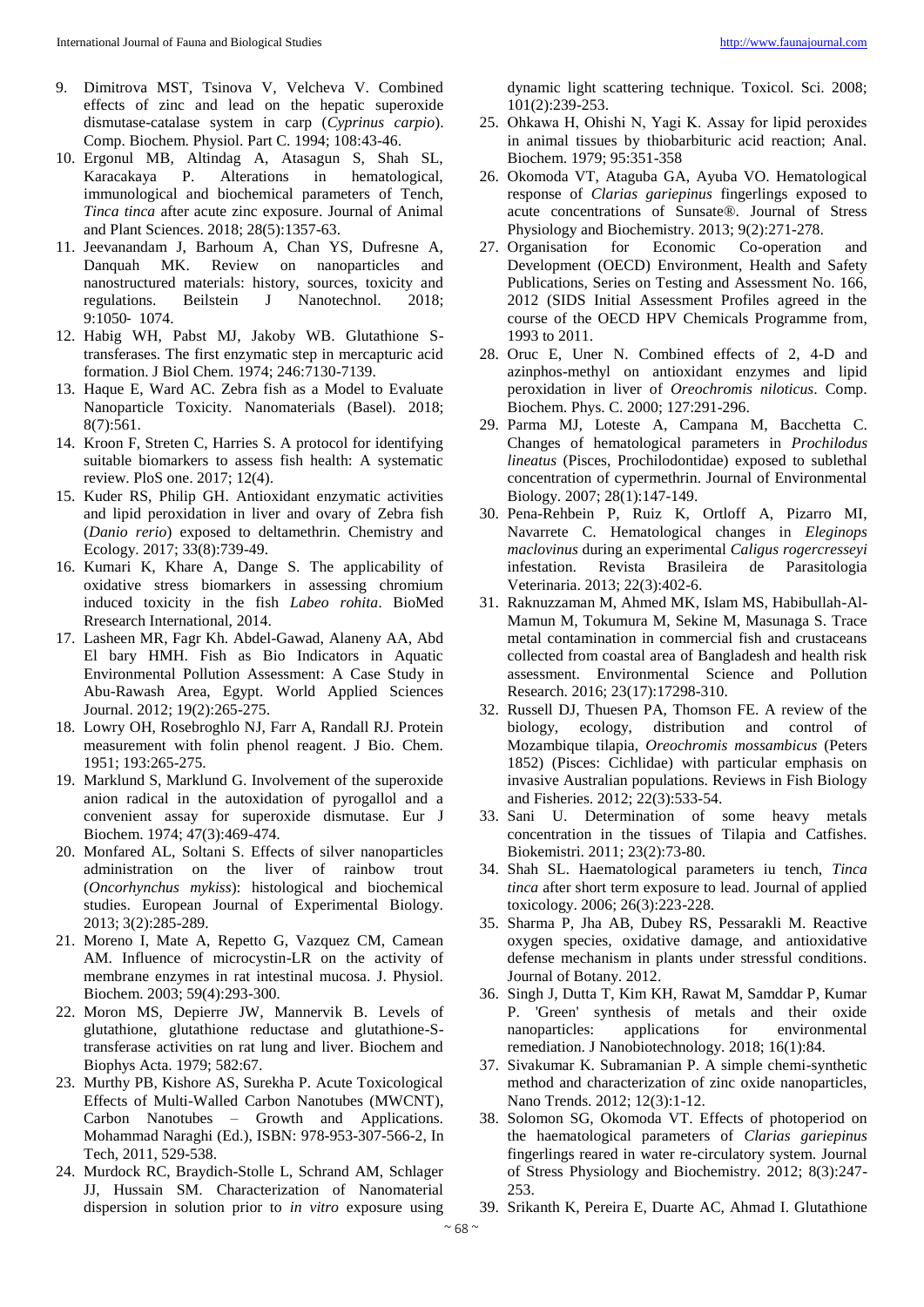- 9. Dimitrova MST, Tsinova V, Velcheva V. Combined effects of zinc and lead on the hepatic superoxide dismutase-catalase system in carp (*Cyprinus carpio*). Comp. Biochem. Physiol. Part C. 1994; 108:43-46.
- 10. Ergonul MB, Altindag A, Atasagun S, Shah SL, Karacakaya P. Alterations in hematological, immunological and biochemical parameters of Tench, *Tinca tinca* after acute zinc exposure. Journal of Animal and Plant Sciences. 2018; 28(5):1357-63.
- 11. Jeevanandam J, Barhoum A, Chan YS, Dufresne A, Danquah MK. Review on nanoparticles and nanostructured materials: history, sources, toxicity and regulations. Beilstein J Nanotechnol. 2018; 9:1050‐ 1074.
- 12. Habig WH, Pabst MJ, Jakoby WB. Glutathione Stransferases. The first enzymatic step in mercapturic acid formation. J Biol Chem. 1974; 246:7130-7139.
- 13. Haque E, Ward AC. Zebra fish as a Model to Evaluate Nanoparticle Toxicity. Nanomaterials (Basel). 2018; 8(7):561.
- 14. Kroon F, Streten C, Harries S. A protocol for identifying suitable biomarkers to assess fish health: A systematic review. PloS one. 2017; 12(4).
- 15. Kuder RS, Philip GH. Antioxidant enzymatic activities and lipid peroxidation in liver and ovary of Zebra fish (*Danio rerio*) exposed to deltamethrin. Chemistry and Ecology. 2017; 33(8):739-49.
- 16. Kumari K, Khare A, Dange S. The applicability of oxidative stress biomarkers in assessing chromium induced toxicity in the fish *Labeo rohita*. BioMed Rresearch International, 2014.
- 17. Lasheen MR, Fagr Kh. Abdel-Gawad, Alaneny AA, Abd El bary HMH. Fish as Bio Indicators in Aquatic Environmental Pollution Assessment: A Case Study in Abu-Rawash Area, Egypt. World Applied Sciences Journal. 2012; 19(2):265-275.
- 18. Lowry OH, Rosebroghlo NJ, Farr A, Randall RJ. Protein measurement with folin phenol reagent. J Bio. Chem. 1951; 193:265-275.
- 19. Marklund S, Marklund G. Involvement of the superoxide anion radical in the autoxidation of pyrogallol and a convenient assay for superoxide dismutase. Eur J Biochem. 1974; 47(3):469-474.
- 20. Monfared AL, Soltani S. Effects of silver nanoparticles administration on the liver of rainbow trout (*Oncorhynchus mykiss*): histological and biochemical studies. European Journal of Experimental Biology. 2013; 3(2):285-289.
- 21. Moreno I, Mate A, Repetto G, Vazquez CM, Camean AM. Influence of microcystin-LR on the activity of membrane enzymes in rat intestinal mucosa. J. Physiol. Biochem. 2003; 59(4):293-300.
- 22. Moron MS, Depierre JW, Mannervik B. Levels of glutathione, glutathione reductase and glutathione-Stransferase activities on rat lung and liver. Biochem and Biophys Acta. 1979; 582:67.
- 23. Murthy PB, Kishore AS, Surekha P. Acute Toxicological Effects of Multi-Walled Carbon Nanotubes (MWCNT), Carbon Nanotubes – Growth and Applications. Mohammad Naraghi (Ed.), ISBN: 978-953-307-566-2, In Tech, 2011, 529-538.
- 24. Murdock RC, Braydich-Stolle L, Schrand AM, Schlager JJ, Hussain SM. Characterization of Nanomaterial dispersion in solution prior to *in vitro* exposure using

dynamic light scattering technique. Toxicol. Sci. 2008; 101(2):239-253.

- 25. Ohkawa H, Ohishi Ν, Yagi Κ. Assay for lipid peroxides in animal tissues by thiobarbituric acid reaction; Anal. Biochem. 1979; 95:351-358
- 26. Okomoda VT, Ataguba GA, Ayuba VO. Hematological response of *Clarias gariepinus* fingerlings exposed to acute concentrations of Sunsate®. Journal of Stress Physiology and Biochemistry. 2013; 9(2):271-278.
- 27. Organisation for Economic Co-operation and Development (OECD) Environment, Health and Safety Publications, Series on Testing and Assessment No. 166, 2012 (SIDS Initial Assessment Profiles agreed in the course of the OECD HPV Chemicals Programme from, 1993 to 2011.
- 28. Oruc E, Uner N. Combined effects of 2, 4-D and azinphos-methyl on antioxidant enzymes and lipid peroxidation in liver of *Oreochromis niloticus*. Comp. Biochem. Phys. C. 2000; 127:291-296.
- 29. Parma MJ, Loteste A, Campana M, Bacchetta C. Changes of hematological parameters in *Prochilodus lineatus* (Pisces, Prochilodontidae) exposed to sublethal concentration of cypermethrin. Journal of Environmental Biology. 2007; 28(1):147-149.
- 30. Pena-Rehbein P, Ruiz K, Ortloff A, Pizarro MI, Navarrete C. Hematological changes in *Eleginops maclovinus* during an experimental *Caligus rogercresseyi* infestation. Revista Brasileira de Parasitologia Veterinaria. 2013; 22(3):402-6.
- 31. Raknuzzaman M, Ahmed MK, Islam MS, Habibullah-Al-Mamun M, Tokumura M, Sekine M, Masunaga S. Trace metal contamination in commercial fish and crustaceans collected from coastal area of Bangladesh and health risk assessment. Environmental Science and Pollution Research. 2016; 23(17):17298-310.
- 32. Russell DJ, Thuesen PA, Thomson FE. A review of the biology, ecology, distribution and control of Mozambique tilapia, *Oreochromis mossambicus* (Peters 1852) (Pisces: Cichlidae) with particular emphasis on invasive Australian populations. Reviews in Fish Biology and Fisheries. 2012; 22(3):533-54.
- 33. Sani U. Determination of some heavy metals concentration in the tissues of Tilapia and Catfishes. Biokemistri. 2011; 23(2):73-80.
- 34. Shah SL. Haematological parameters iu tench, *Tinca tinca* after short term exposure to lead. Journal of applied toxicology. 2006; 26(3):223-228.
- 35. Sharma P, Jha AB, Dubey RS, Pessarakli M. Reactive oxygen species, oxidative damage, and antioxidative defense mechanism in plants under stressful conditions. Journal of Botany. 2012.
- 36. Singh J, Dutta T, Kim KH, Rawat M, Samddar P, Kumar P. 'Green' synthesis of metals and their oxide nanoparticles: applications for environmental remediation. J Nanobiotechnology. 2018; 16(1):84.
- 37. Sivakumar K. Subramanian P. A simple chemi-synthetic method and characterization of zinc oxide nanoparticles, Nano Trends. 2012; 12(3):1-12.
- 38. Solomon SG, Okomoda VT. Effects of photoperiod on the haematological parameters of *Clarias gariepinus* fingerlings reared in water re-circulatory system. Journal of Stress Physiology and Biochemistry. 2012; 8(3):247- 253.
- 39. Srikanth K, Pereira E, Duarte AC, Ahmad I. Glutathione